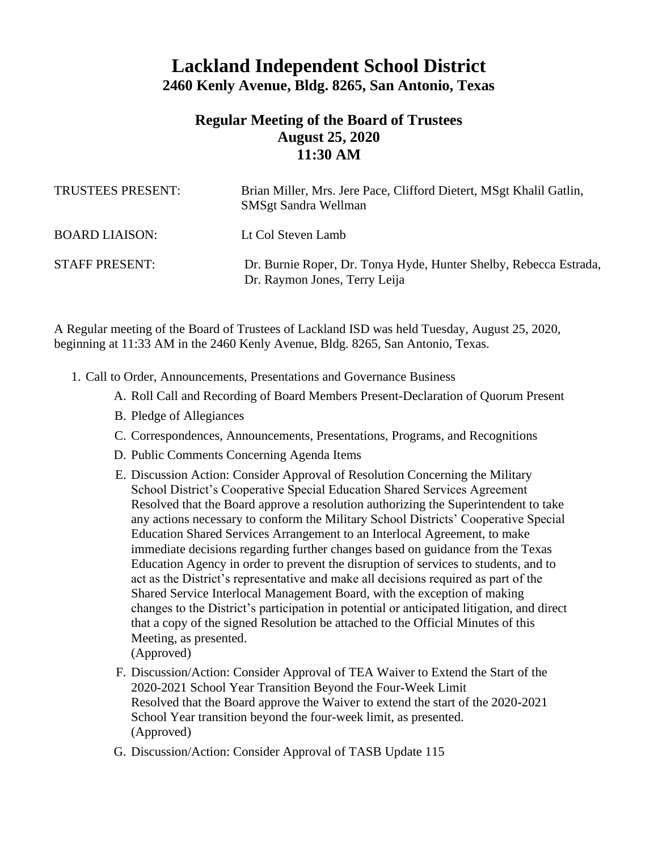## **Lackland Independent School District 2460 Kenly Avenue, Bldg. 8265, San Antonio, Texas**

## **Regular Meeting of the Board of Trustees August 25, 2020 11:30 AM**

| <b>TRUSTEES PRESENT:</b> | Brian Miller, Mrs. Jere Pace, Clifford Dietert, MSgt Khalil Gatlin,<br><b>SMSgt Sandra Wellman</b> |
|--------------------------|----------------------------------------------------------------------------------------------------|
| <b>BOARD LIAISON:</b>    | Lt Col Steven Lamb                                                                                 |
| <b>STAFF PRESENT:</b>    | Dr. Burnie Roper, Dr. Tonya Hyde, Hunter Shelby, Rebecca Estrada,<br>Dr. Raymon Jones, Terry Leija |

A Regular meeting of the Board of Trustees of Lackland ISD was held Tuesday, August 25, 2020, beginning at 11:33 AM in the 2460 Kenly Avenue, Bldg. 8265, San Antonio, Texas.

- 1. Call to Order, Announcements, Presentations and Governance Business
	- A. Roll Call and Recording of Board Members Present-Declaration of Quorum Present
	- B. Pledge of Allegiances
	- C. Correspondences, Announcements, Presentations, Programs, and Recognitions
	- D. Public Comments Concerning Agenda Items
	- E. Discussion Action: Consider Approval of Resolution Concerning the Military School District's Cooperative Special Education Shared Services Agreement Resolved that the Board approve a resolution authorizing the Superintendent to take any actions necessary to conform the Military School Districts' Cooperative Special Education Shared Services Arrangement to an Interlocal Agreement, to make immediate decisions regarding further changes based on guidance from the Texas Education Agency in order to prevent the disruption of services to students, and to act as the District's representative and make all decisions required as part of the Shared Service Interlocal Management Board, with the exception of making changes to the District's participation in potential or anticipated litigation, and direct that a copy of the signed Resolution be attached to the Official Minutes of this Meeting, as presented. (Approved)
	- F. Discussion/Action: Consider Approval of TEA Waiver to Extend the Start of the 2020-2021 School Year Transition Beyond the Four-Week Limit Resolved that the Board approve the Waiver to extend the start of the 2020-2021 School Year transition beyond the four-week limit, as presented. (Approved)
	- G. Discussion/Action: Consider Approval of TASB Update 115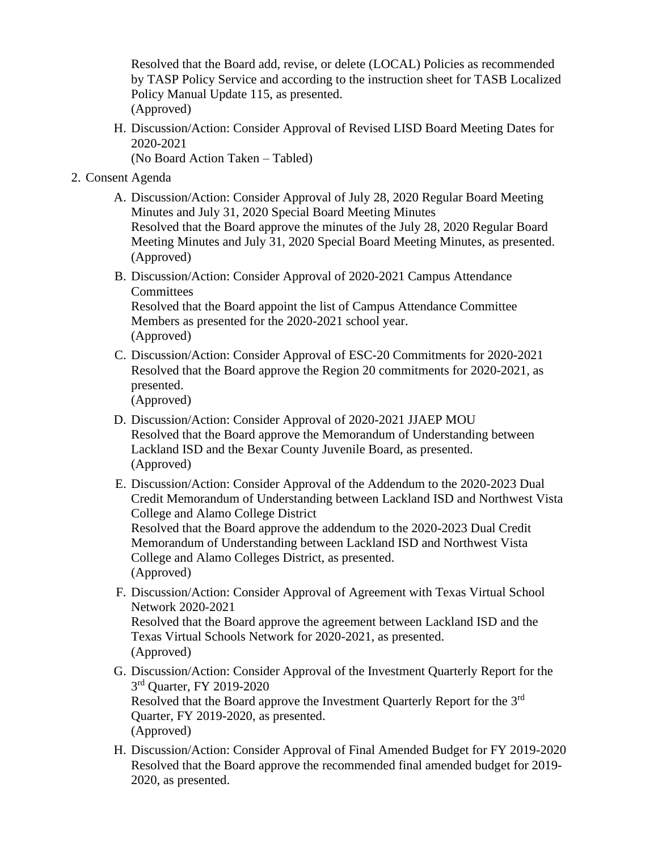Resolved that the Board add, revise, or delete (LOCAL) Policies as recommended by TASP Policy Service and according to the instruction sheet for TASB Localized Policy Manual Update 115, as presented. (Approved)

H. Discussion/Action: Consider Approval of Revised LISD Board Meeting Dates for 2020-2021

(No Board Action Taken – Tabled)

- 2. Consent Agenda
	- A. Discussion/Action: Consider Approval of July 28, 2020 Regular Board Meeting Minutes and July 31, 2020 Special Board Meeting Minutes Resolved that the Board approve the minutes of the July 28, 2020 Regular Board Meeting Minutes and July 31, 2020 Special Board Meeting Minutes, as presented. (Approved)
	- B. Discussion/Action: Consider Approval of 2020-2021 Campus Attendance **Committees** Resolved that the Board appoint the list of Campus Attendance Committee Members as presented for the 2020-2021 school year.

(Approved)

C. Discussion/Action: Consider Approval of ESC-20 Commitments for 2020-2021 Resolved that the Board approve the Region 20 commitments for 2020-2021, as presented.

(Approved)

- D. Discussion/Action: Consider Approval of 2020-2021 JJAEP MOU Resolved that the Board approve the Memorandum of Understanding between Lackland ISD and the Bexar County Juvenile Board, as presented. (Approved)
- E. Discussion/Action: Consider Approval of the Addendum to the 2020-2023 Dual Credit Memorandum of Understanding between Lackland ISD and Northwest Vista College and Alamo College District Resolved that the Board approve the addendum to the 2020-2023 Dual Credit

Memorandum of Understanding between Lackland ISD and Northwest Vista College and Alamo Colleges District, as presented. (Approved)

- F. Discussion/Action: Consider Approval of Agreement with Texas Virtual School Network 2020-2021 Resolved that the Board approve the agreement between Lackland ISD and the Texas Virtual Schools Network for 2020-2021, as presented. (Approved)
- G. Discussion/Action: Consider Approval of the Investment Quarterly Report for the 3<sup>rd</sup> Quarter, FY 2019-2020 Resolved that the Board approve the Investment Quarterly Report for the 3<sup>rd</sup> Quarter, FY 2019-2020, as presented. (Approved)
- H. Discussion/Action: Consider Approval of Final Amended Budget for FY 2019-2020 Resolved that the Board approve the recommended final amended budget for 2019- 2020, as presented.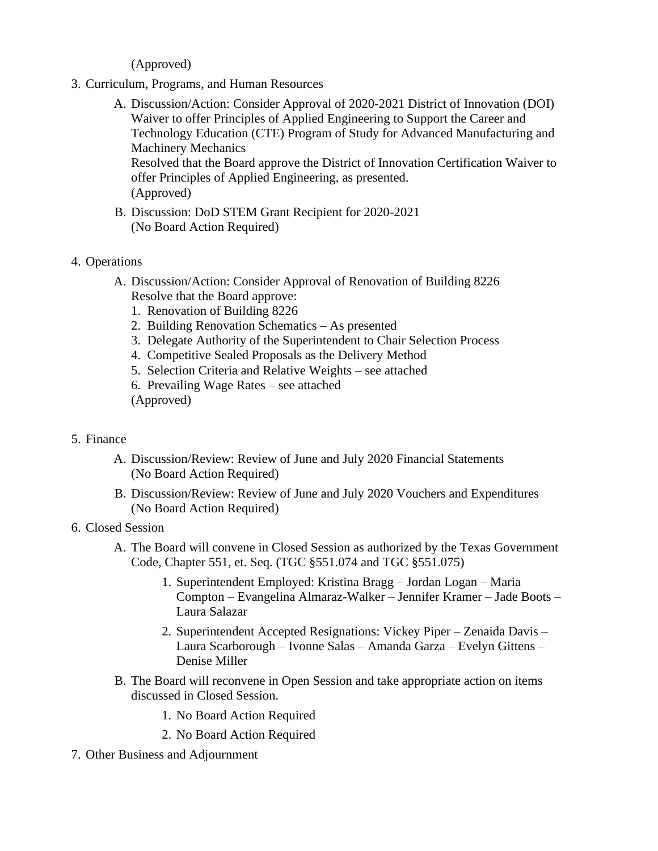(Approved)

- 3. Curriculum, Programs, and Human Resources
	- A. Discussion/Action: Consider Approval of 2020-2021 District of Innovation (DOI) Waiver to offer Principles of Applied Engineering to Support the Career and Technology Education (CTE) Program of Study for Advanced Manufacturing and Machinery Mechanics Resolved that the Board approve the District of Innovation Certification Waiver to offer Principles of Applied Engineering, as presented. (Approved)
	- B. Discussion: DoD STEM Grant Recipient for 2020-2021 (No Board Action Required)
- 4. Operations
	- A. Discussion/Action: Consider Approval of Renovation of Building 8226 Resolve that the Board approve:
		- 1. Renovation of Building 8226
		- 2. Building Renovation Schematics As presented
		- 3. Delegate Authority of the Superintendent to Chair Selection Process
		- 4. Competitive Sealed Proposals as the Delivery Method
		- 5. Selection Criteria and Relative Weights see attached
		- 6. Prevailing Wage Rates see attached
		- (Approved)
- 5. Finance
	- A. Discussion/Review: Review of June and July 2020 Financial Statements (No Board Action Required)
	- B. Discussion/Review: Review of June and July 2020 Vouchers and Expenditures (No Board Action Required)
- 6. Closed Session
	- A. The Board will convene in Closed Session as authorized by the Texas Government Code, Chapter 551, et. Seq. (TGC §551.074 and TGC §551.075)
		- 1. Superintendent Employed: Kristina Bragg Jordan Logan Maria Compton – Evangelina Almaraz-Walker – Jennifer Kramer – Jade Boots – Laura Salazar
		- 2. Superintendent Accepted Resignations: Vickey Piper Zenaida Davis Laura Scarborough – Ivonne Salas – Amanda Garza – Evelyn Gittens – Denise Miller
	- B. The Board will reconvene in Open Session and take appropriate action on items discussed in Closed Session.
		- 1. No Board Action Required
		- 2. No Board Action Required
- 7. Other Business and Adjournment